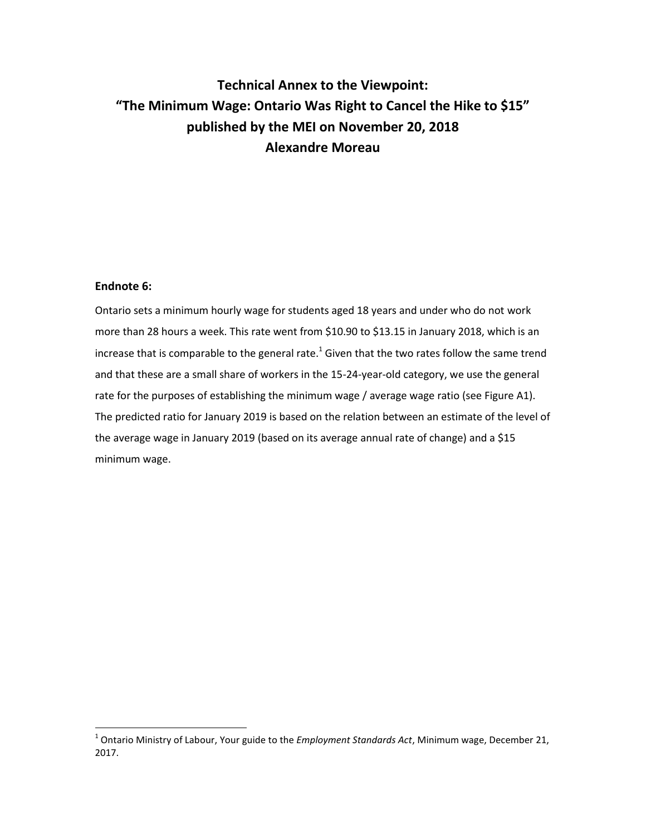# **Technical Annex to the Viewpoint: "The Minimum Wage: Ontario Was Right to Cancel the Hike to \$15" published by the MEI on November 20, 2018 Alexandre Moreau**

### **Endnote 6:**

Ontario sets a minimum hourly wage for students aged 18 years and under who do not work more than 28 hours a week. This rate went from \$10.90 to \$13.15 in January 2018, which is an increase that is comparable to the general rate.<sup>1</sup> Given that the two rates follow the same trend and that these are a small share of workers in the 15-24-year-old category, we use the general rate for the purposes of establishing the minimum wage / average wage ratio (see Figure A1). The predicted ratio for January 2019 is based on the relation between an estimate of the level of the average wage in January 2019 (based on its average annual rate of change) and a \$15 minimum wage.

 1 Ontario Ministry of Labour, Your guide to the *Employment Standards Act*, Minimum wage, December 21, 2017.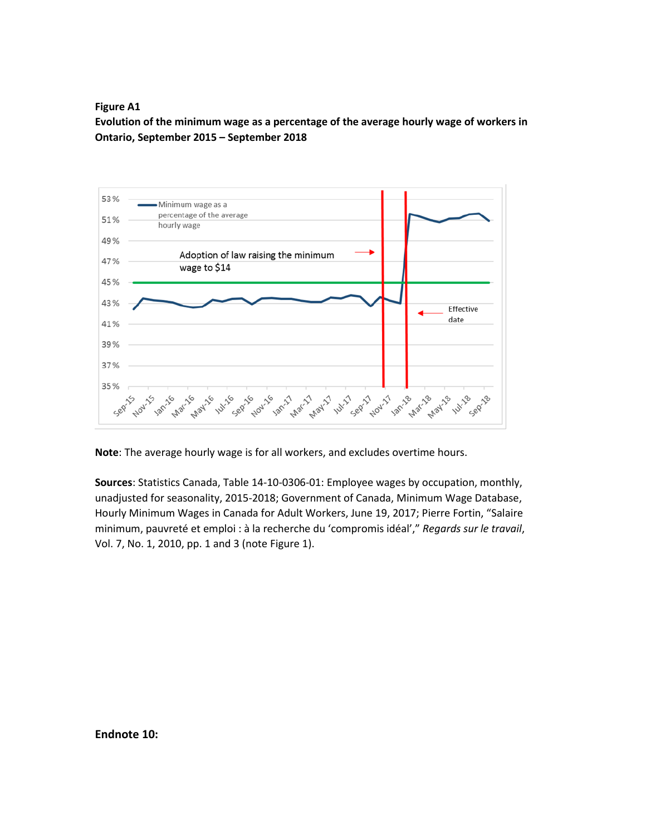**Figure A1**

**Evolution of the minimum wage as a percentage of the average hourly wage of workers in Ontario, September 2015 – September 2018**



**Note**: The average hourly wage is for all workers, and excludes overtime hours.

**Sources**: Statistics Canada, Table 14-10-0306-01: Employee wages by occupation, monthly, unadjusted for seasonality, 2015-2018; Government of Canada, Minimum Wage Database, Hourly Minimum Wages in Canada for Adult Workers, June 19, 2017; Pierre Fortin, "Salaire minimum, pauvreté et emploi : à la recherche du 'compromis idéal'," *Regards sur le travail*, Vol. 7, No. 1, 2010, pp. 1 and 3 (note Figure 1).

**Endnote 10:**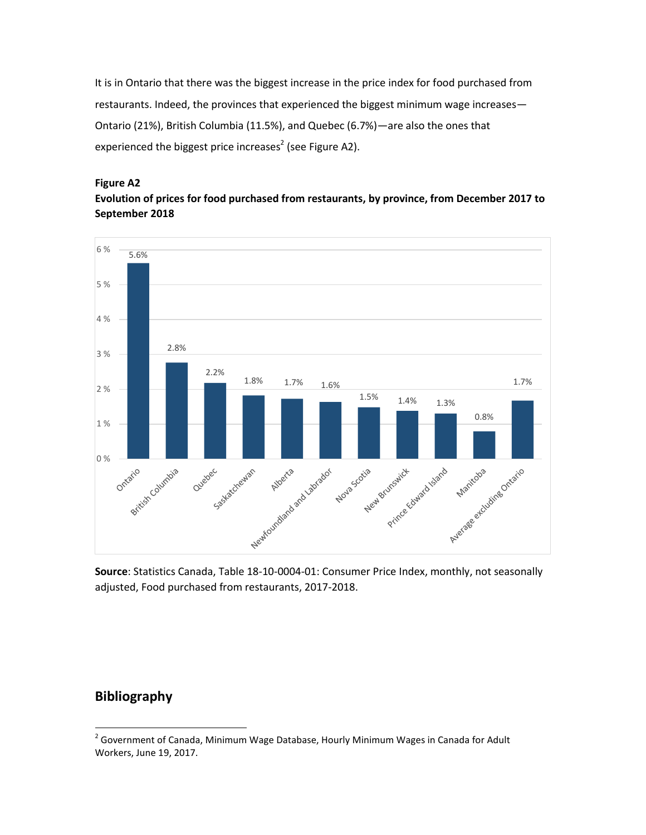It is in Ontario that there was the biggest increase in the price index for food purchased from restaurants. Indeed, the provinces that experienced the biggest minimum wage increases— Ontario (21%), British Columbia (11.5%), and Quebec (6.7%)—are also the ones that experienced the biggest price increases<sup>2</sup> (see Figure A2).

#### **Figure A2**

**Evolution of prices for food purchased from restaurants, by province, from December 2017 to September 2018** 



**Source**: Statistics Canada, Table 18-10-0004-01: Consumer Price Index, monthly, not seasonally adjusted, Food purchased from restaurants, 2017-2018.

# **Bibliography**

l

 $2^{2}$  Government of Canada, Minimum Wage Database, Hourly Minimum Wages in Canada for Adult Workers, June 19, 2017.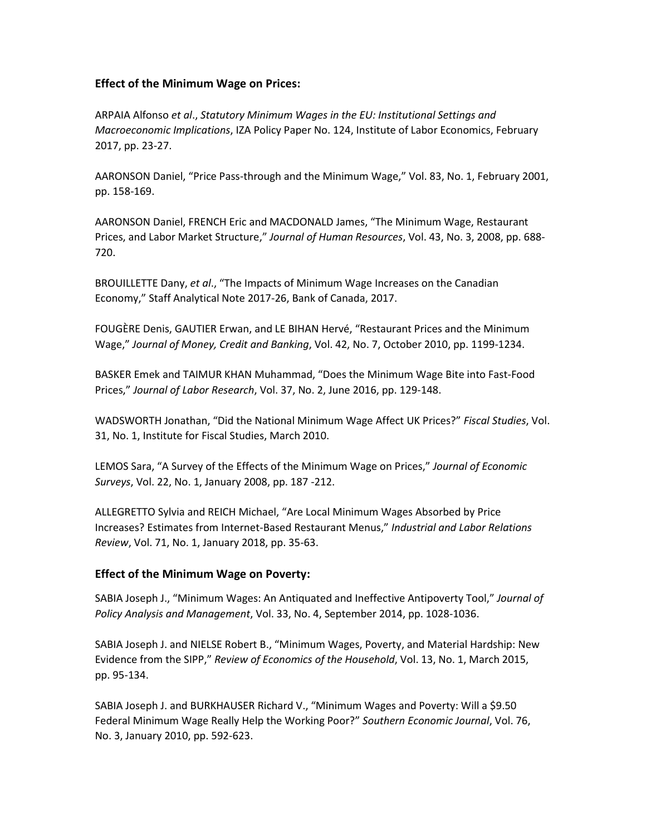### **Effect of the Minimum Wage on Prices:**

ARPAIA Alfonso *et al*., *Statutory Minimum Wages in the EU: Institutional Settings and Macroeconomic Implications*, IZA Policy Paper No. 124, Institute of Labor Economics, February 2017, pp. 23-27.

AARONSON Daniel, "Price Pass-through and the Minimum Wage," Vol. 83, No. 1, February 2001, pp. 158-169.

AARONSON Daniel, FRENCH Eric and MACDONALD James, "The Minimum Wage, Restaurant Prices, and Labor Market Structure," *Journal of Human Resources*, Vol. 43, No. 3, 2008, pp. 688- 720.

BROUILLETTE Dany, *et al*., "The Impacts of Minimum Wage Increases on the Canadian Economy," Staff Analytical Note 2017-26, Bank of Canada, 2017.

FOUGÈRE Denis, GAUTIER Erwan, and LE BIHAN Hervé, "Restaurant Prices and the Minimum Wage," *Journal of Money, Credit and Banking*, Vol. 42, No. 7, October 2010, pp. 1199-1234.

BASKER Emek and TAIMUR KHAN Muhammad, "Does the Minimum Wage Bite into Fast-Food Prices," *Journal of Labor Research*, Vol. 37, No. 2, June 2016, pp. 129-148.

WADSWORTH Jonathan, "Did the National Minimum Wage Affect UK Prices?" *Fiscal Studies*, Vol. 31, No. 1, Institute for Fiscal Studies, March 2010.

LEMOS Sara, "A Survey of the Effects of the Minimum Wage on Prices," *Journal of Economic Surveys*, Vol. 22, No. 1, January 2008, pp. 187 -212.

ALLEGRETTO Sylvia and REICH Michael, "Are Local Minimum Wages Absorbed by Price Increases? Estimates from Internet-Based Restaurant Menus," *Industrial and Labor Relations Review*, Vol. 71, No. 1, January 2018, pp. 35-63.

## **Effect of the Minimum Wage on Poverty:**

SABIA Joseph J., "Minimum Wages: An Antiquated and Ineffective Antipoverty Tool," *Journal of Policy Analysis and Management*, Vol. 33, No. 4, September 2014, pp. 1028-1036.

SABIA Joseph J. and NIELSE Robert B., "Minimum Wages, Poverty, and Material Hardship: New Evidence from the SIPP," *Review of Economics of the Household*, Vol. 13, No. 1, March 2015, pp. 95-134.

SABIA Joseph J. and BURKHAUSER Richard V., "Minimum Wages and Poverty: Will a \$9.50 Federal Minimum Wage Really Help the Working Poor?" *Southern Economic Journal*, Vol. 76, No. 3, January 2010, pp. 592-623.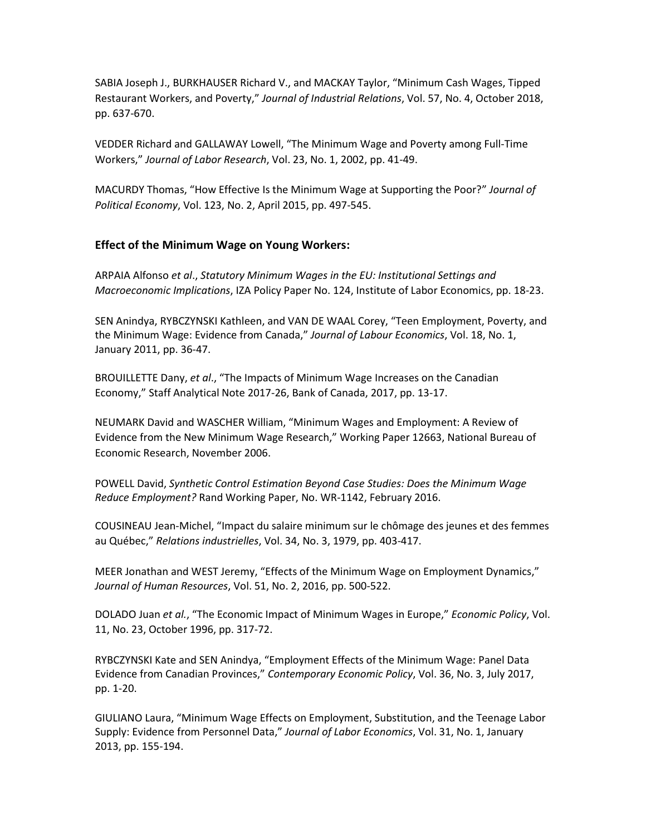SABIA Joseph J., BURKHAUSER Richard V., and MACKAY Taylor, "Minimum Cash Wages, Tipped Restaurant Workers, and Poverty," *Journal of Industrial Relations*, Vol. 57, No. 4, October 2018, pp. 637-670.

VEDDER Richard and GALLAWAY Lowell, "The Minimum Wage and Poverty among Full-Time Workers," *Journal of Labor Research*, Vol. 23, No. 1, 2002, pp. 41-49.

MACURDY Thomas, "How Effective Is the Minimum Wage at Supporting the Poor?" *Journal of Political Economy*, Vol. 123, No. 2, April 2015, pp. 497-545.

### **Effect of the Minimum Wage on Young Workers:**

ARPAIA Alfonso *et al*., *Statutory Minimum Wages in the EU: Institutional Settings and Macroeconomic Implications*, IZA Policy Paper No. 124, Institute of Labor Economics, pp. 18-23.

SEN Anindya, RYBCZYNSKI Kathleen, and VAN DE WAAL Corey, "Teen Employment, Poverty, and the Minimum Wage: Evidence from Canada," *Journal of Labour Economics*, Vol. 18, No. 1, January 2011, pp. 36-47.

BROUILLETTE Dany, *et al*., "The Impacts of Minimum Wage Increases on the Canadian Economy," Staff Analytical Note 2017-26, Bank of Canada, 2017, pp. 13-17.

NEUMARK David and WASCHER William, "Minimum Wages and Employment: A Review of Evidence from the New Minimum Wage Research," Working Paper 12663, National Bureau of Economic Research, November 2006.

POWELL David, *Synthetic Control Estimation Beyond Case Studies: Does the Minimum Wage Reduce Employment?* Rand Working Paper, No. WR-1142, February 2016.

COUSINEAU Jean-Michel, "Impact du salaire minimum sur le chômage des jeunes et des femmes au Québec," *Relations industrielles*, Vol. 34, No. 3, 1979, pp. 403-417.

MEER Jonathan and WEST Jeremy, "Effects of the Minimum Wage on Employment Dynamics," *Journal of Human Resources*, Vol. 51, No. 2, 2016, pp. 500-522.

DOLADO Juan *et al.*, "The Economic Impact of Minimum Wages in Europe," *Economic Policy*, Vol. 11, No. 23, October 1996, pp. 317-72.

RYBCZYNSKI Kate and SEN Anindya, "Employment Effects of the Minimum Wage: Panel Data Evidence from Canadian Provinces," *Contemporary Economic Policy*, Vol. 36, No. 3, July 2017, pp. 1-20.

GIULIANO Laura, "Minimum Wage Effects on Employment, Substitution, and the Teenage Labor Supply: Evidence from Personnel Data," *Journal of Labor Economics*, Vol. 31, No. 1, January 2013, pp. 155-194.